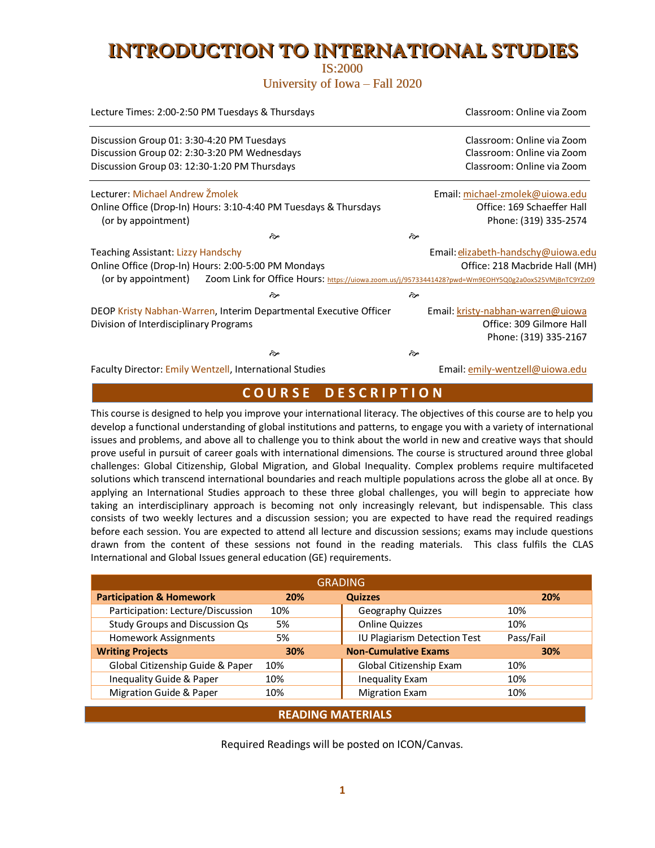# INTRODUCTION TO INTERNATIONAL STUDIES

IS:2000 University of Iowa – Fall 2020

| Lecture Times: 2:00-2:50 PM Tuesdays & Thursdays | Classroom: Online via Zoom                                                                           |    |                                     |  |  |  |
|--------------------------------------------------|------------------------------------------------------------------------------------------------------|----|-------------------------------------|--|--|--|
| Discussion Group 01: 3:30-4:20 PM Tuesdays       |                                                                                                      |    | Classroom: Online via Zoom          |  |  |  |
| Discussion Group 02: 2:30-3:20 PM Wednesdays     |                                                                                                      |    | Classroom: Online via Zoom          |  |  |  |
| Discussion Group 03: 12:30-1:20 PM Thursdays     | Classroom: Online via Zoom                                                                           |    |                                     |  |  |  |
| Lecturer: Michael Andrew Žmolek                  |                                                                                                      |    | Email: michael-zmolek@uiowa.edu     |  |  |  |
|                                                  | Online Office (Drop-In) Hours: 3:10-4:40 PM Tuesdays & Thursdays                                     |    | Office: 169 Schaeffer Hall          |  |  |  |
| (or by appointment)                              |                                                                                                      |    | Phone: (319) 335-2574               |  |  |  |
|                                                  | مچ                                                                                                   | તે |                                     |  |  |  |
| Teaching Assistant: Lizzy Handschy               |                                                                                                      |    | Email: elizabeth-handschy@uiowa.edu |  |  |  |
|                                                  | Online Office (Drop-In) Hours: 2:00-5:00 PM Mondays                                                  |    | Office: 218 Macbride Hall (MH)      |  |  |  |
| (or by appointment)                              | Zoom Link for Office Hours: https://uiowa.zoom.us/j/95733441428?pwd=Wm9EOHY5Q0g2a0oxS25VMjBnTC9YZz09 |    |                                     |  |  |  |
|                                                  | مچ                                                                                                   | কি |                                     |  |  |  |
|                                                  | DEOP Kristy Nabhan-Warren, Interim Departmental Executive Officer                                    |    | Email: kristy-nabhan-warren@uiowa   |  |  |  |
| Division of Interdisciplinary Programs           |                                                                                                      |    | Office: 309 Gilmore Hall            |  |  |  |
|                                                  |                                                                                                      |    | Phone: (319) 335-2167               |  |  |  |
|                                                  | ਨੇ∗                                                                                                  | কৈ |                                     |  |  |  |
|                                                  | Faculty Director: Emily Wentzell, International Studies                                              |    | Email: emily-wentzell@uiowa.edu     |  |  |  |

## **C O U R S E D E S C R I P T I O N**

This course is designed to help you improve your international literacy. The objectives of this course are to help you develop a functional understanding of global institutions and patterns, to engage you with a variety of international issues and problems, and above all to challenge you to think about the world in new and creative ways that should prove useful in pursuit of career goals with international dimensions. The course is structured around three global challenges: Global Citizenship, Global Migration, and Global Inequality. Complex problems require multifaceted solutions which transcend international boundaries and reach multiple populations across the globe all at once. By applying an International Studies approach to these three global challenges, you will begin to appreciate how taking an interdisciplinary approach is becoming not only increasingly relevant, but indispensable. This class consists of two weekly lectures and a discussion session; you are expected to have read the required readings before each session. You are expected to attend all lecture and discussion sessions; exams may include questions drawn from the content of these sessions not found in the reading materials. This class fulfils the CLAS International and Global Issues general education (GE) requirements.

| <b>GRADING</b>                      |     |                              |            |  |  |  |  |
|-------------------------------------|-----|------------------------------|------------|--|--|--|--|
| <b>Participation &amp; Homework</b> | 20% | <b>Quizzes</b>               | <b>20%</b> |  |  |  |  |
| Participation: Lecture/Discussion   | 10% | Geography Quizzes            | 10%        |  |  |  |  |
| Study Groups and Discussion Qs      | 5%  | <b>Online Quizzes</b>        | 10%        |  |  |  |  |
| Homework Assignments                | 5%  | IU Plagiarism Detection Test | Pass/Fail  |  |  |  |  |
| <b>Writing Projects</b>             | 30% | <b>Non-Cumulative Exams</b>  | 30%        |  |  |  |  |
| Global Citizenship Guide & Paper    | 10% | Global Citizenship Exam      | 10%        |  |  |  |  |
| Inequality Guide & Paper            | 10% | <b>Inequality Exam</b>       | 10%        |  |  |  |  |
| <b>Migration Guide &amp; Paper</b>  | 10% | <b>Migration Exam</b>        | 10%        |  |  |  |  |
|                                     |     |                              |            |  |  |  |  |

#### **READING MATERIALS**

Required Readings will be posted on ICON/Canvas.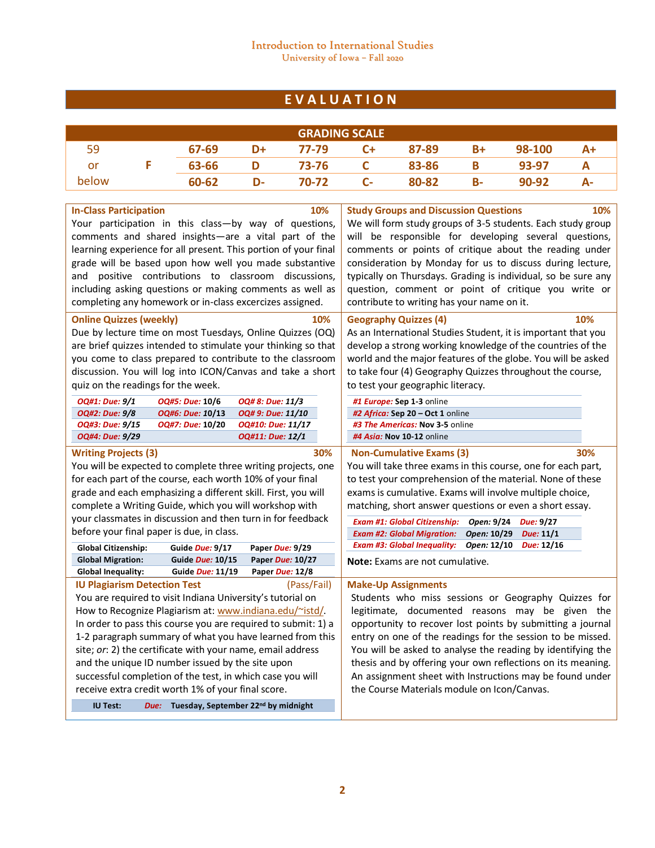### Introduction to International Studies University of Iowa – Fall 2020

# **E V A L U A T I O N**

| <b>GRADING SCALE</b> |  |       |    |       |      |       |    |           |    |
|----------------------|--|-------|----|-------|------|-------|----|-----------|----|
| 59                   |  | 67-69 | D+ | 77-79 | $C+$ | 87-89 | B+ | 98-100    | A+ |
| or                   |  | 63-66 |    | 73-76 |      | 83-86 | В  | 93-97     |    |
| below                |  | 60-62 | D- | 70-72 | $C-$ | 80-82 | В- | $90 - 92$ |    |

| <b>In-Class Participation</b><br>10%<br>Your participation in this class-by way of questions,<br>comments and shared insights-are a vital part of the<br>learning experience for all present. This portion of your final<br>grade will be based upon how well you made substantive<br>and positive contributions to classroom discussions,<br>including asking questions or making comments as well as                                                                                                                                        | 10%<br><b>Study Groups and Discussion Questions</b><br>We will form study groups of 3-5 students. Each study group<br>will be responsible for developing several questions,<br>comments or points of critique about the reading under<br>consideration by Monday for us to discuss during lecture,<br>typically on Thursdays. Grading is individual, so be sure any<br>question, comment or point of critique you write or                                 |
|-----------------------------------------------------------------------------------------------------------------------------------------------------------------------------------------------------------------------------------------------------------------------------------------------------------------------------------------------------------------------------------------------------------------------------------------------------------------------------------------------------------------------------------------------|------------------------------------------------------------------------------------------------------------------------------------------------------------------------------------------------------------------------------------------------------------------------------------------------------------------------------------------------------------------------------------------------------------------------------------------------------------|
| completing any homework or in-class excercizes assigned.                                                                                                                                                                                                                                                                                                                                                                                                                                                                                      | contribute to writing has your name on it.                                                                                                                                                                                                                                                                                                                                                                                                                 |
| <b>Online Quizzes (weekly)</b><br>10%<br>Due by lecture time on most Tuesdays, Online Quizzes (OQ)<br>are brief quizzes intended to stimulate your thinking so that<br>you come to class prepared to contribute to the classroom<br>discussion. You will log into ICON/Canvas and take a short<br>quiz on the readings for the week.                                                                                                                                                                                                          | 10%<br><b>Geography Quizzes (4)</b><br>As an International Studies Student, it is important that you<br>develop a strong working knowledge of the countries of the<br>world and the major features of the globe. You will be asked<br>to take four (4) Geography Quizzes throughout the course,<br>to test your geographic literacy.                                                                                                                       |
| OQ#1: Due: 9/1<br>OQ#5: Due: 10/6<br>OQ# 8: Due: 11/3                                                                                                                                                                                                                                                                                                                                                                                                                                                                                         | #1 Europe: Sep 1-3 online                                                                                                                                                                                                                                                                                                                                                                                                                                  |
| OQ# 9: Due: 11/10<br>OQ#2: Due: 9/8<br>OQ#6: Due: 10/13<br>OQ#10: Due: 11/17<br>OQ#3: Due: 9/15<br>OQ#7: Due: 10/20                                                                                                                                                                                                                                                                                                                                                                                                                           | #2 Africa: Sep 20 - Oct 1 online<br>#3 The Americas: Nov 3-5 online                                                                                                                                                                                                                                                                                                                                                                                        |
| OQ#4: Due: 9/29<br>OQ#11: Due: 12/1                                                                                                                                                                                                                                                                                                                                                                                                                                                                                                           | #4 Asia: Nov 10-12 online                                                                                                                                                                                                                                                                                                                                                                                                                                  |
| <b>Writing Projects (3)</b><br>30%<br>You will be expected to complete three writing projects, one<br>for each part of the course, each worth 10% of your final<br>grade and each emphasizing a different skill. First, you will<br>complete a Writing Guide, which you will workshop with<br>your classmates in discussion and then turn in for feedback                                                                                                                                                                                     | <b>Non-Cumulative Exams (3)</b><br>30%<br>You will take three exams in this course, one for each part,<br>to test your comprehension of the material. None of these<br>exams is cumulative. Exams will involve multiple choice,<br>matching, short answer questions or even a short essay.                                                                                                                                                                 |
| before your final paper is due, in class.                                                                                                                                                                                                                                                                                                                                                                                                                                                                                                     | <b>Exam #1: Global Citizenship:</b><br>Open: 9/24<br>Due: 9/27                                                                                                                                                                                                                                                                                                                                                                                             |
|                                                                                                                                                                                                                                                                                                                                                                                                                                                                                                                                               | <b>Exam #2: Global Migration:</b><br>Open: 10/29<br>Due: 11/1<br><b>Exam #3: Global Inequality:</b><br>Open: 12/10<br>Due: 12/16                                                                                                                                                                                                                                                                                                                           |
| Guide Due: 9/17<br><b>Global Citizenship:</b><br>Paper Due: 9/29<br><b>Global Migration:</b><br>Guide <i>Due:</i> 10/15<br>Paper Due: 10/27                                                                                                                                                                                                                                                                                                                                                                                                   |                                                                                                                                                                                                                                                                                                                                                                                                                                                            |
| Guide Due: 11/19<br>Paper Due: 12/8<br><b>Global Inequality:</b>                                                                                                                                                                                                                                                                                                                                                                                                                                                                              | <b>Note:</b> Exams are not cumulative.                                                                                                                                                                                                                                                                                                                                                                                                                     |
| <b>IU Plagiarism Detection Test</b><br>(Pass/Fail)<br>You are required to visit Indiana University's tutorial on<br>How to Recognize Plagiarism at: www.indiana.edu/~istd/.<br>In order to pass this course you are required to submit: 1) a<br>1-2 paragraph summary of what you have learned from this<br>site; or: 2) the certificate with your name, email address<br>and the unique ID number issued by the site upon<br>successful completion of the test, in which case you will<br>receive extra credit worth 1% of your final score. | <b>Make-Up Assignments</b><br>Students who miss sessions or Geography Quizzes for<br>legitimate, documented reasons may be given the<br>opportunity to recover lost points by submitting a journal<br>entry on one of the readings for the session to be missed.<br>You will be asked to analyse the reading by identifying the<br>thesis and by offering your own reflections on its meaning.<br>An assignment sheet with Instructions may be found under |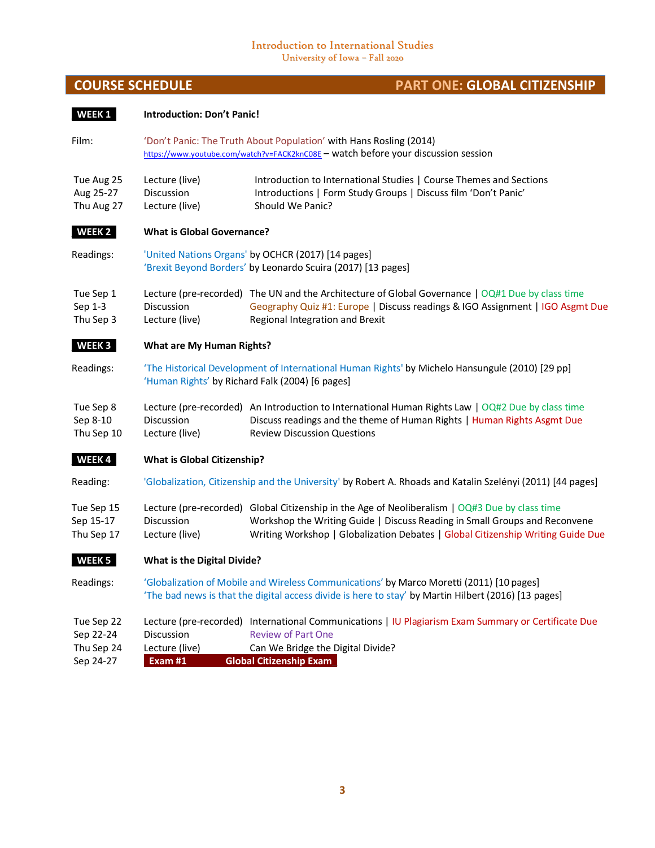#### Introduction to International Studies University of Iowa – Fall 2020

**\_WEEK 1\_ Introduction: Don't Panic!**

# **COURSE SCHEDULE PART ONE: GLOBAL CITIZENSHIP**

| Film:                                              | 'Don't Panic: The Truth About Population' with Hans Rosling (2014)<br>https://www.youtube.com/watch?v=FACK2knC08E - watch before your discussion session                                                   |                                                                                                                                                                                                                                                                 |  |  |  |  |
|----------------------------------------------------|------------------------------------------------------------------------------------------------------------------------------------------------------------------------------------------------------------|-----------------------------------------------------------------------------------------------------------------------------------------------------------------------------------------------------------------------------------------------------------------|--|--|--|--|
| Tue Aug 25<br>Aug 25-27<br>Thu Aug 27              | Introduction to International Studies   Course Themes and Sections<br>Lecture (live)<br>Introductions   Form Study Groups   Discuss film 'Don't Panic'<br>Discussion<br>Lecture (live)<br>Should We Panic? |                                                                                                                                                                                                                                                                 |  |  |  |  |
| WEEK 2                                             | <b>What is Global Governance?</b>                                                                                                                                                                          |                                                                                                                                                                                                                                                                 |  |  |  |  |
| Readings:                                          |                                                                                                                                                                                                            | 'United Nations Organs' by OCHCR (2017) [14 pages]<br>'Brexit Beyond Borders' by Leonardo Scuira (2017) [13 pages]                                                                                                                                              |  |  |  |  |
| Tue Sep 1<br>Sep 1-3<br>Thu Sep 3                  | <b>Discussion</b><br>Lecture (live)                                                                                                                                                                        | Lecture (pre-recorded) The UN and the Architecture of Global Governance   OQ#1 Due by class time<br>Geography Quiz #1: Europe   Discuss readings & IGO Assignment   IGO Asgmt Due<br>Regional Integration and Brexit                                            |  |  |  |  |
| WEEK <sub>3</sub>                                  | <b>What are My Human Rights?</b>                                                                                                                                                                           |                                                                                                                                                                                                                                                                 |  |  |  |  |
| Readings:                                          | 'The Historical Development of International Human Rights' by Michelo Hansungule (2010) [29 pp]<br>'Human Rights' by Richard Falk (2004) [6 pages]                                                         |                                                                                                                                                                                                                                                                 |  |  |  |  |
| Tue Sep 8<br>Sep 8-10<br>Thu Sep 10                | Discussion<br>Lecture (live)                                                                                                                                                                               | Lecture (pre-recorded) An Introduction to International Human Rights Law   OQ#2 Due by class time<br>Discuss readings and the theme of Human Rights   Human Rights Asgmt Due<br><b>Review Discussion Questions</b>                                              |  |  |  |  |
| WEEK4                                              | <b>What is Global Citizenship?</b>                                                                                                                                                                         |                                                                                                                                                                                                                                                                 |  |  |  |  |
| Reading:                                           | 'Globalization, Citizenship and the University' by Robert A. Rhoads and Katalin Szelényi (2011) [44 pages]                                                                                                 |                                                                                                                                                                                                                                                                 |  |  |  |  |
| Tue Sep 15<br>Sep 15-17<br>Thu Sep 17              | Discussion<br>Lecture (live)                                                                                                                                                                               | Lecture (pre-recorded) Global Citizenship in the Age of Neoliberalism   OQ#3 Due by class time<br>Workshop the Writing Guide   Discuss Reading in Small Groups and Reconvene<br>Writing Workshop   Globalization Debates   Global Citizenship Writing Guide Due |  |  |  |  |
| WEEK <sub>5</sub>                                  | <b>What is the Digital Divide?</b>                                                                                                                                                                         |                                                                                                                                                                                                                                                                 |  |  |  |  |
| Readings:                                          |                                                                                                                                                                                                            | 'Globalization of Mobile and Wireless Communications' by Marco Moretti (2011) [10 pages]<br>'The bad news is that the digital access divide is here to stay' by Martin Hilbert (2016) [13 pages]                                                                |  |  |  |  |
| Tue Sep 22<br>Sep 22-24<br>Thu Sep 24<br>Sep 24-27 | Discussion<br>Lecture (live)<br>Exam #1                                                                                                                                                                    | Lecture (pre-recorded) International Communications   IU Plagiarism Exam Summary or Certificate Due<br><b>Review of Part One</b><br>Can We Bridge the Digital Divide?<br><b>Global Citizenship Exam</b>                                                         |  |  |  |  |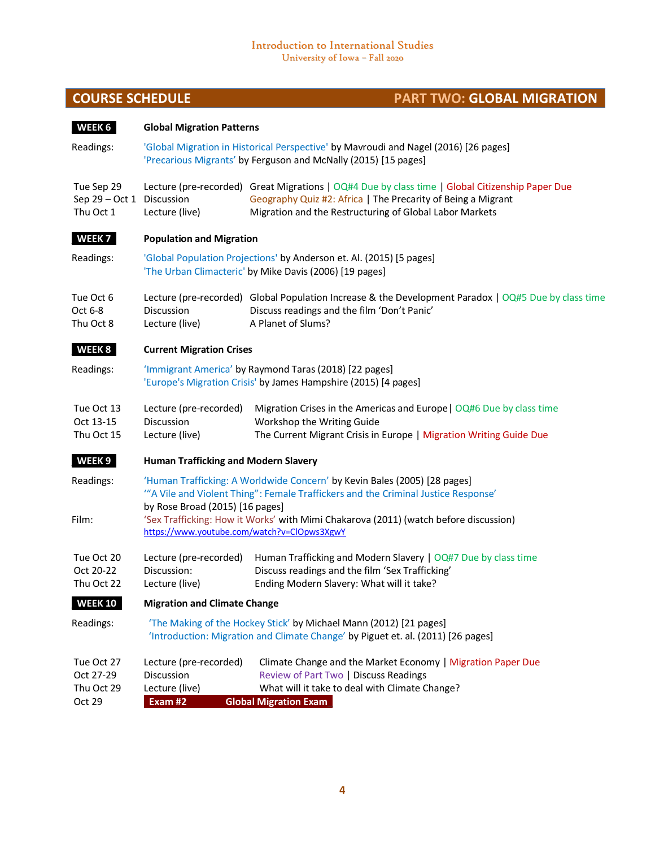# **COURSE SCHEDULE COURSE SCHEDULE PART TWO: GLOBAL MIGRATION**

| WEEK 6                                               | <b>Global Migration Patterns</b>                                                                                                                                                                                                                                                          |                                                                                                                                                                                                                            |  |  |  |  |  |  |
|------------------------------------------------------|-------------------------------------------------------------------------------------------------------------------------------------------------------------------------------------------------------------------------------------------------------------------------------------------|----------------------------------------------------------------------------------------------------------------------------------------------------------------------------------------------------------------------------|--|--|--|--|--|--|
| Readings:                                            | 'Global Migration in Historical Perspective' by Mavroudi and Nagel (2016) [26 pages]<br>'Precarious Migrants' by Ferguson and McNally (2015) [15 pages]                                                                                                                                   |                                                                                                                                                                                                                            |  |  |  |  |  |  |
| Tue Sep 29<br>Sep 29 - Oct 1 Discussion<br>Thu Oct 1 | Lecture (live)                                                                                                                                                                                                                                                                            | Lecture (pre-recorded) Great Migrations   OQ#4 Due by class time   Global Citizenship Paper Due<br>Geography Quiz #2: Africa   The Precarity of Being a Migrant<br>Migration and the Restructuring of Global Labor Markets |  |  |  |  |  |  |
| WEEK <sub>7</sub>                                    | <b>Population and Migration</b>                                                                                                                                                                                                                                                           |                                                                                                                                                                                                                            |  |  |  |  |  |  |
| Readings:                                            | 'Global Population Projections' by Anderson et. Al. (2015) [5 pages]<br>'The Urban Climacteric' by Mike Davis (2006) [19 pages]                                                                                                                                                           |                                                                                                                                                                                                                            |  |  |  |  |  |  |
| Tue Oct 6<br>Oct 6-8<br>Thu Oct 8                    | Lecture (pre-recorded) Global Population Increase & the Development Paradox   OQ#5 Due by class time<br><b>Discussion</b><br>Discuss readings and the film 'Don't Panic'<br>A Planet of Slums?<br>Lecture (live)                                                                          |                                                                                                                                                                                                                            |  |  |  |  |  |  |
| WEEK 8                                               | <b>Current Migration Crises</b>                                                                                                                                                                                                                                                           |                                                                                                                                                                                                                            |  |  |  |  |  |  |
| Readings:                                            |                                                                                                                                                                                                                                                                                           | 'Immigrant America' by Raymond Taras (2018) [22 pages]<br>'Europe's Migration Crisis' by James Hampshire (2015) [4 pages]                                                                                                  |  |  |  |  |  |  |
| Tue Oct 13<br>Oct 13-15<br>Thu Oct 15                | Lecture (pre-recorded)<br>Migration Crises in the Americas and Europe   OQ#6 Due by class time<br>Discussion<br>Workshop the Writing Guide<br>The Current Migrant Crisis in Europe   Migration Writing Guide Due<br>Lecture (live)                                                        |                                                                                                                                                                                                                            |  |  |  |  |  |  |
| WEEK <sub>9</sub>                                    | <b>Human Trafficking and Modern Slavery</b>                                                                                                                                                                                                                                               |                                                                                                                                                                                                                            |  |  |  |  |  |  |
| Readings:<br>Film:                                   | 'Human Trafficking: A Worldwide Concern' by Kevin Bales (2005) [28 pages]<br>"A Vile and Violent Thing": Female Traffickers and the Criminal Justice Response'<br>by Rose Broad (2015) [16 pages]<br>'Sex Trafficking: How it Works' with Mimi Chakarova (2011) (watch before discussion) |                                                                                                                                                                                                                            |  |  |  |  |  |  |
|                                                      | https://www.youtube.com/watch?v=ClOpws3XgwY                                                                                                                                                                                                                                               |                                                                                                                                                                                                                            |  |  |  |  |  |  |
| Tue Oct 20<br>Oct 20-22<br>Thu Oct 22                | Lecture (pre-recorded)<br>Discussion:<br>Lecture (live)                                                                                                                                                                                                                                   | Human Trafficking and Modern Slavery   OQ#7 Due by class time<br>Discuss readings and the film 'Sex Trafficking'<br>Ending Modern Slavery: What will it take?                                                              |  |  |  |  |  |  |
| <b>WEEK 10</b>                                       | <b>Migration and Climate Change</b>                                                                                                                                                                                                                                                       |                                                                                                                                                                                                                            |  |  |  |  |  |  |
| Readings:                                            | 'The Making of the Hockey Stick' by Michael Mann (2012) [21 pages]<br>'Introduction: Migration and Climate Change' by Piguet et. al. (2011) [26 pages]                                                                                                                                    |                                                                                                                                                                                                                            |  |  |  |  |  |  |
| Tue Oct 27<br>Oct 27-29<br>Thu Oct 29<br>Oct 29      | Lecture (pre-recorded)<br>Discussion<br>Lecture (live)<br>Exam #2                                                                                                                                                                                                                         | Climate Change and the Market Economy   Migration Paper Due<br>Review of Part Two   Discuss Readings<br>What will it take to deal with Climate Change?<br><b>Global Migration Exam</b>                                     |  |  |  |  |  |  |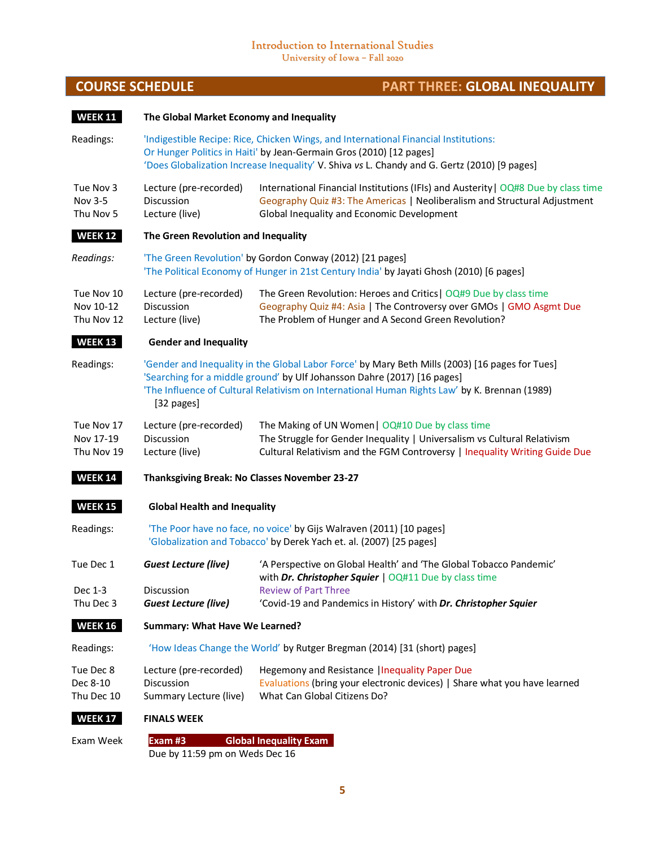٠

# **COURSE SCHEDULE PART THREE: GLOBAL INEQUALITY**

| <b>WEEK 11</b>                        | The Global Market Economy and Inequality                                                                                                                                                                                                                                                   |                                                                                                                                                                                                                                                             |  |  |  |  |  |  |
|---------------------------------------|--------------------------------------------------------------------------------------------------------------------------------------------------------------------------------------------------------------------------------------------------------------------------------------------|-------------------------------------------------------------------------------------------------------------------------------------------------------------------------------------------------------------------------------------------------------------|--|--|--|--|--|--|
| Readings:                             |                                                                                                                                                                                                                                                                                            | 'Indigestible Recipe: Rice, Chicken Wings, and International Financial Institutions:<br>Or Hunger Politics in Haiti' by Jean-Germain Gros (2010) [12 pages]<br>'Does Globalization Increase Inequality' V. Shiva vs L. Chandy and G. Gertz (2010) [9 pages] |  |  |  |  |  |  |
| Tue Nov 3<br>Nov 3-5<br>Thu Nov 5     | Lecture (pre-recorded)<br>Discussion<br>Lecture (live)                                                                                                                                                                                                                                     | International Financial Institutions (IFIs) and Austerity   OQ#8 Due by class time<br>Geography Quiz #3: The Americas   Neoliberalism and Structural Adjustment<br>Global Inequality and Economic Development                                               |  |  |  |  |  |  |
| <b>WEEK 12</b>                        | The Green Revolution and Inequality                                                                                                                                                                                                                                                        |                                                                                                                                                                                                                                                             |  |  |  |  |  |  |
| Readings:                             |                                                                                                                                                                                                                                                                                            | 'The Green Revolution' by Gordon Conway (2012) [21 pages]<br>'The Political Economy of Hunger in 21st Century India' by Jayati Ghosh (2010) [6 pages]                                                                                                       |  |  |  |  |  |  |
| Tue Nov 10<br>Nov 10-12<br>Thu Nov 12 | Lecture (pre-recorded)<br>Discussion<br>Lecture (live)                                                                                                                                                                                                                                     | The Green Revolution: Heroes and Critics   OQ#9 Due by class time<br>Geography Quiz #4: Asia   The Controversy over GMOs   GMO Asgmt Due<br>The Problem of Hunger and A Second Green Revolution?                                                            |  |  |  |  |  |  |
| <b>WEEK 13</b>                        | <b>Gender and Inequality</b>                                                                                                                                                                                                                                                               |                                                                                                                                                                                                                                                             |  |  |  |  |  |  |
| Readings:                             | 'Gender and Inequality in the Global Labor Force' by Mary Beth Mills (2003) [16 pages for Tues]<br>'Searching for a middle ground' by Ulf Johansson Dahre (2017) [16 pages]<br>'The Influence of Cultural Relativism on International Human Rights Law' by K. Brennan (1989)<br>[32 pages] |                                                                                                                                                                                                                                                             |  |  |  |  |  |  |
| Tue Nov 17<br>Nov 17-19<br>Thu Nov 19 | Lecture (pre-recorded)<br>Discussion<br>Lecture (live)                                                                                                                                                                                                                                     | The Making of UN Women   OQ#10 Due by class time<br>The Struggle for Gender Inequality   Universalism vs Cultural Relativism<br>Cultural Relativism and the FGM Controversy   Inequality Writing Guide Due                                                  |  |  |  |  |  |  |
| <b>WEEK 14</b>                        |                                                                                                                                                                                                                                                                                            | Thanksgiving Break: No Classes November 23-27                                                                                                                                                                                                               |  |  |  |  |  |  |
| <b>WEEK 15</b>                        | <b>Global Health and Inequality</b>                                                                                                                                                                                                                                                        |                                                                                                                                                                                                                                                             |  |  |  |  |  |  |
| Readings:                             |                                                                                                                                                                                                                                                                                            | 'The Poor have no face, no voice' by Gijs Walraven (2011) [10 pages]<br>'Globalization and Tobacco' by Derek Yach et. al. (2007) [25 pages]                                                                                                                 |  |  |  |  |  |  |
| Tue Dec 1                             | Guest Lecture (live)                                                                                                                                                                                                                                                                       | 'A Perspective on Global Health' and 'The Global Tobacco Pandemic'<br>with Dr. Christopher Squier   OQ#11 Due by class time                                                                                                                                 |  |  |  |  |  |  |
| Dec 1-3<br>Thu Dec 3                  | Discussion<br><b>Guest Lecture (live)</b>                                                                                                                                                                                                                                                  | <b>Review of Part Three</b><br>'Covid-19 and Pandemics in History' with Dr. Christopher Squier                                                                                                                                                              |  |  |  |  |  |  |
| <b>WEEK 16</b>                        | Summary: What Have We Learned?                                                                                                                                                                                                                                                             |                                                                                                                                                                                                                                                             |  |  |  |  |  |  |
| Readings:                             | 'How Ideas Change the World' by Rutger Bregman (2014) [31 (short) pages]                                                                                                                                                                                                                   |                                                                                                                                                                                                                                                             |  |  |  |  |  |  |
| Tue Dec 8<br>Dec 8-10<br>Thu Dec 10   | Lecture (pre-recorded)<br>Discussion<br>Summary Lecture (live)                                                                                                                                                                                                                             | Hegemony and Resistance   Inequality Paper Due<br>Evaluations (bring your electronic devices)   Share what you have learned<br>What Can Global Citizens Do?                                                                                                 |  |  |  |  |  |  |
| <b>WEEK 17</b>                        | <b>FINALS WEEK</b>                                                                                                                                                                                                                                                                         |                                                                                                                                                                                                                                                             |  |  |  |  |  |  |
|                                       |                                                                                                                                                                                                                                                                                            |                                                                                                                                                                                                                                                             |  |  |  |  |  |  |

Exam Week **Exam #3 Global Inequality Exam\_** Due by 11:59 pm on Weds Dec 16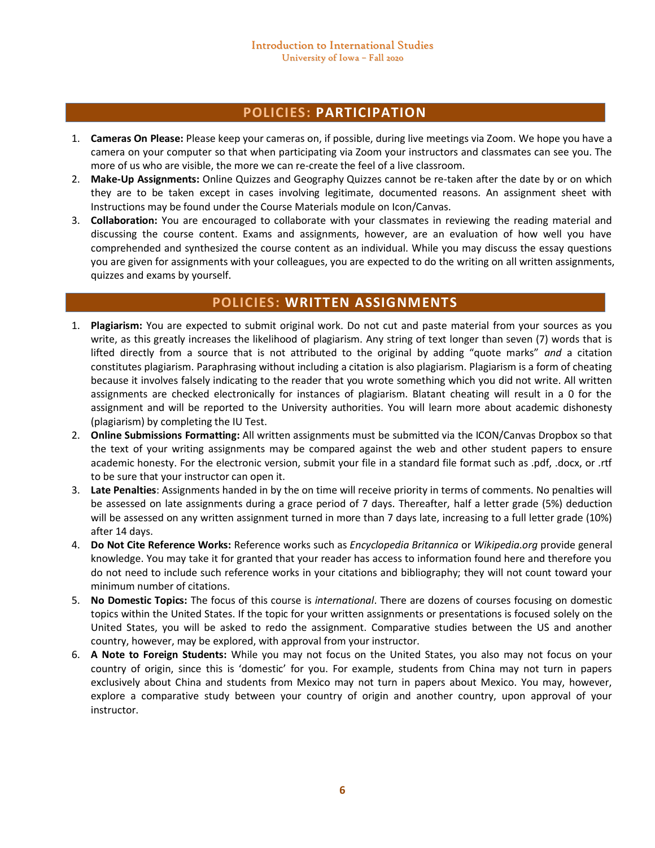## **POLICIES: PARTICIPATION**

- 1. **Cameras On Please:** Please keep your cameras on, if possible, during live meetings via Zoom. We hope you have a camera on your computer so that when participating via Zoom your instructors and classmates can see you. The more of us who are visible, the more we can re-create the feel of a live classroom.
- 2. **Make-Up Assignments:** Online Quizzes and Geography Quizzes cannot be re-taken after the date by or on which they are to be taken except in cases involving legitimate, documented reasons. An assignment sheet with Instructions may be found under the Course Materials module on Icon/Canvas.
- 3. **Collaboration:** You are encouraged to collaborate with your classmates in reviewing the reading material and discussing the course content. Exams and assignments, however, are an evaluation of how well you have comprehended and synthesized the course content as an individual. While you may discuss the essay questions you are given for assignments with your colleagues, you are expected to do the writing on all written assignments, quizzes and exams by yourself.

## **POLICIES: WRITTEN ASSIGNMENTS**

- 1. **Plagiarism:** You are expected to submit original work. Do not cut and paste material from your sources as you write, as this greatly increases the likelihood of plagiarism. Any string of text longer than seven (7) words that is lifted directly from a source that is not attributed to the original by adding "quote marks" *and* a citation constitutes plagiarism. Paraphrasing without including a citation is also plagiarism. Plagiarism is a form of cheating because it involves falsely indicating to the reader that you wrote something which you did not write. All written assignments are checked electronically for instances of plagiarism. Blatant cheating will result in a 0 for the assignment and will be reported to the University authorities. You will learn more about academic dishonesty (plagiarism) by completing the IU Test.
- 2. **Online Submissions Formatting:** All written assignments must be submitted via the ICON/Canvas Dropbox so that the text of your writing assignments may be compared against the web and other student papers to ensure academic honesty. For the electronic version, submit your file in a standard file format such as .pdf, .docx, or .rtf to be sure that your instructor can open it.
- 3. **Late Penalties**: Assignments handed in by the on time will receive priority in terms of comments. No penalties will be assessed on late assignments during a grace period of 7 days. Thereafter, half a letter grade (5%) deduction will be assessed on any written assignment turned in more than 7 days late, increasing to a full letter grade (10%) after 14 days.
- 4. **Do Not Cite Reference Works:** Reference works such as *Encyclopedia Britannica* or *Wikipedia.org* provide general knowledge. You may take it for granted that your reader has access to information found here and therefore you do not need to include such reference works in your citations and bibliography; they will not count toward your minimum number of citations.
- 5. **No Domestic Topics:** The focus of this course is *international*. There are dozens of courses focusing on domestic topics within the United States. If the topic for your written assignments or presentations is focused solely on the United States, you will be asked to redo the assignment. Comparative studies between the US and another country, however, may be explored, with approval from your instructor.
- 6. **A Note to Foreign Students:** While you may not focus on the United States, you also may not focus on your country of origin, since this is 'domestic' for you. For example, students from China may not turn in papers exclusively about China and students from Mexico may not turn in papers about Mexico. You may, however, explore a comparative study between your country of origin and another country, upon approval of your instructor.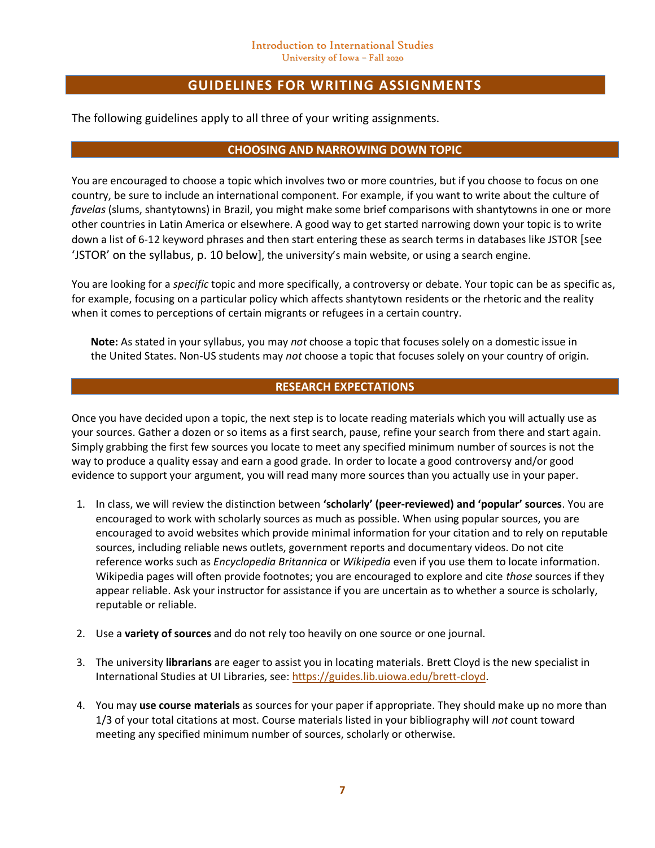# **GUIDELINES FOR WRITING ASSIGNMENTS**

The following guidelines apply to all three of your writing assignments.

### **CHOOSING AND NARROWING DOWN TOPIC**

You are encouraged to choose a topic which involves two or more countries, but if you choose to focus on one country, be sure to include an international component. For example, if you want to write about the culture of *favelas* (slums, shantytowns) in Brazil, you might make some brief comparisons with shantytowns in one or more other countries in Latin America or elsewhere. A good way to get started narrowing down your topic is to write down a list of 6-12 keyword phrases and then start entering these as search terms in databases like JSTOR [see 'JSTOR' on the syllabus, p. 10 below], the university's main website, or using a search engine.

You are looking for a *specific* topic and more specifically, a controversy or debate. Your topic can be as specific as, for example, focusing on a particular policy which affects shantytown residents or the rhetoric and the reality when it comes to perceptions of certain migrants or refugees in a certain country.

**Note:** As stated in your syllabus, you may *not* choose a topic that focuses solely on a domestic issue in the United States. Non-US students may *not* choose a topic that focuses solely on your country of origin.

### **RESEARCH EXPECTATIONS**

Once you have decided upon a topic, the next step is to locate reading materials which you will actually use as your sources. Gather a dozen or so items as a first search, pause, refine your search from there and start again. Simply grabbing the first few sources you locate to meet any specified minimum number of sources is not the way to produce a quality essay and earn a good grade. In order to locate a good controversy and/or good evidence to support your argument, you will read many more sources than you actually use in your paper.

- 1. In class, we will review the distinction between **'scholarly' (peer-reviewed) and 'popular' sources**. You are encouraged to work with scholarly sources as much as possible. When using popular sources, you are encouraged to avoid websites which provide minimal information for your citation and to rely on reputable sources, including reliable news outlets, government reports and documentary videos. Do not cite reference works such as *Encyclopedia Britannica* or *Wikipedia* even if you use them to locate information. Wikipedia pages will often provide footnotes; you are encouraged to explore and cite *those* sources if they appear reliable. Ask your instructor for assistance if you are uncertain as to whether a source is scholarly, reputable or reliable.
- 2. Use a **variety of sources** and do not rely too heavily on one source or one journal.
- 3. The university **librarians** are eager to assist you in locating materials. Brett Cloyd is the new specialist in International Studies at UI Libraries, see: [https://guides.lib.uiowa.edu/brett-cloyd.](https://guides.lib.uiowa.edu/brett-cloyd)
- 4. You may **use course materials** as sources for your paper if appropriate. They should make up no more than 1/3 of your total citations at most. Course materials listed in your bibliography will *not* count toward meeting any specified minimum number of sources, scholarly or otherwise.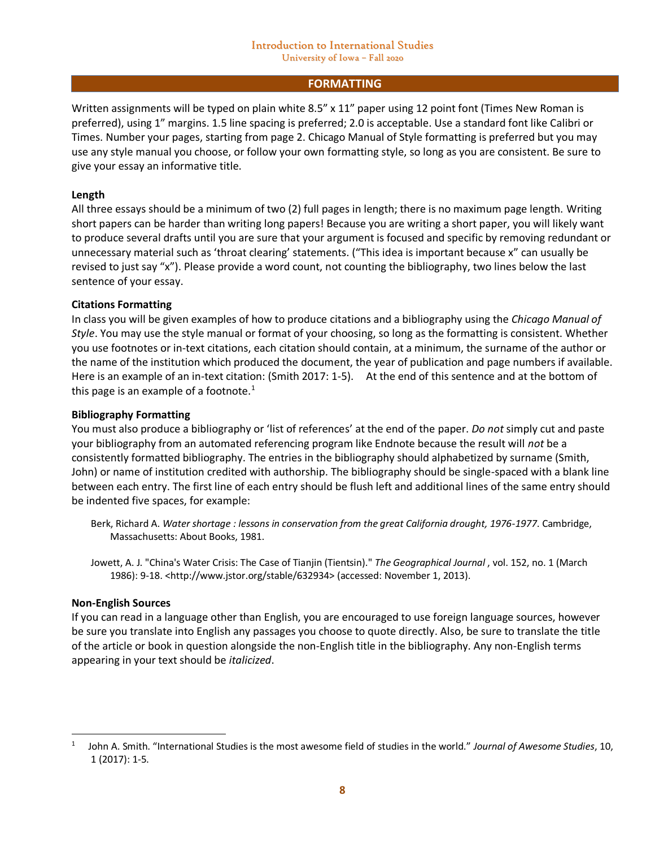#### **FORMATTING**

Written assignments will be typed on plain white 8.5" x 11" paper using 12 point font (Times New Roman is preferred), using 1" margins. 1.5 line spacing is preferred; 2.0 is acceptable. Use a standard font like Calibri or Times. Number your pages, starting from page 2. Chicago Manual of Style formatting is preferred but you may use any style manual you choose, or follow your own formatting style, so long as you are consistent. Be sure to give your essay an informative title.

### **Length**

All three essays should be a minimum of two (2) full pages in length; there is no maximum page length. Writing short papers can be harder than writing long papers! Because you are writing a short paper, you will likely want to produce several drafts until you are sure that your argument is focused and specific by removing redundant or unnecessary material such as 'throat clearing' statements. ("This idea is important because x" can usually be revised to just say "x"). Please provide a word count, not counting the bibliography, two lines below the last sentence of your essay.

### **Citations Formatting**

In class you will be given examples of how to produce citations and a bibliography using the *Chicago Manual of Style*. You may use the style manual or format of your choosing, so long as the formatting is consistent. Whether you use footnotes or in-text citations, each citation should contain, at a minimum, the surname of the author or the name of the institution which produced the document, the year of publication and page numbers if available. Here is an example of an in-text citation: (Smith 2017: 1-5). At the end of this sentence and at the bottom of this page is an example of a footnote. $<sup>1</sup>$ </sup>

### **Bibliography Formatting**

You must also produce a bibliography or 'list of references' at the end of the paper. *Do not* simply cut and paste your bibliography from an automated referencing program like Endnote because the result will *not* be a consistently formatted bibliography. The entries in the bibliography should alphabetized by surname (Smith, John) or name of institution credited with authorship. The bibliography should be single-spaced with a blank line between each entry. The first line of each entry should be flush left and additional lines of the same entry should be indented five spaces, for example:

- Berk, Richard A. *Water shortage : lessons in conservation from the great California drought, 1976-1977*. Cambridge, Massachusetts: About Books, 1981.
- Jowett, A. J. "China's Water Crisis: The Case of Tianjin (Tientsin)." *The Geographical Journal* , vol. 152, no. 1 (March 1986): 9-18. <http://www.jstor.org/stable/632934> (accessed: November 1, 2013).

#### **Non-English Sources**

If you can read in a language other than English, you are encouraged to use foreign language sources, however be sure you translate into English any passages you choose to quote directly. Also, be sure to translate the title of the article or book in question alongside the non-English title in the bibliography. Any non-English terms appearing in your text should be *italicized*.

<sup>1</sup> John A. Smith. "International Studies is the most awesome field of studies in the world." *Journal of Awesome Studies*, 10, 1 (2017): 1-5.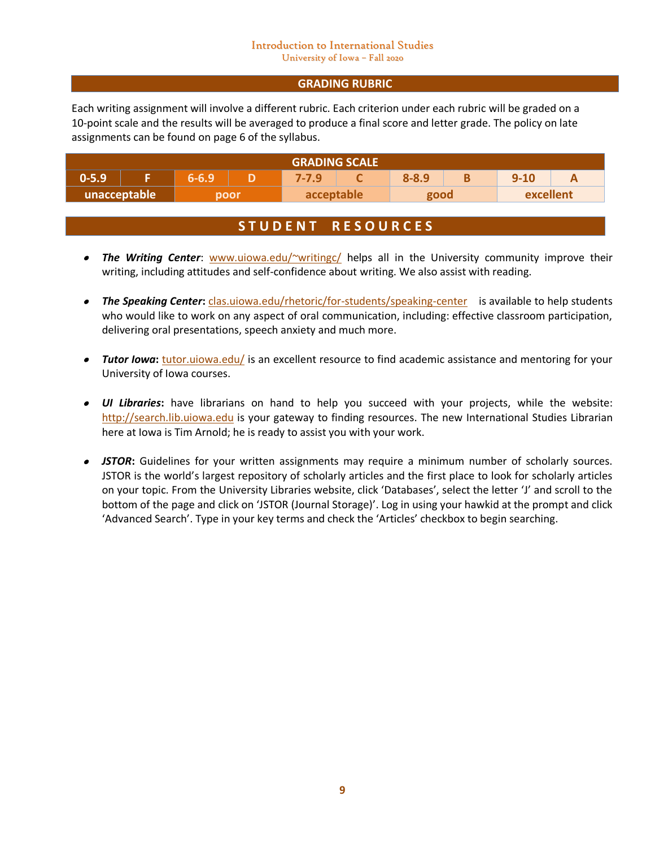### **GRADING RUBRIC**

Each writing assignment will involve a different rubric. Each criterion under each rubric will be graded on a 10-point scale and the results will be averaged to produce a final score and letter grade. The policy on late assignments can be found on page 6 of the syllabus.

| <b>GRADING SCALE</b> |  |           |      |            |  |           |  |           |  |
|----------------------|--|-----------|------|------------|--|-----------|--|-----------|--|
| $0 - 5.9$            |  | $6 - 6.9$ |      | 7-7.9      |  | $8 - 8.9$ |  | $9 - 10$  |  |
| unacceptable         |  |           | poor | acceptable |  | good      |  | excellent |  |

# **S T U D E N T R E S O U R C E S**

- *The Writing Center*: [www.uiowa.edu/~writingc/](http://www.uiowa.edu/~writingc/) helps all in the University community improve their writing, including attitudes and self-confidence about writing. We also assist with reading.
- **The Speaking Center:** [clas.uiowa.edu/rhetoric/for-students/speaking-center](http://clas.uiowa.edu/rhetoric/for-students/speaking-center) is available to help students who would like to work on any aspect of oral communication, including: effective classroom participation, delivering oral presentations, speech anxiety and much more.
- *Tutor Iowa*: *[tutor.uiowa.edu/](http://tutor.uiowa.edu/)* is an excellent resource to find academic assistance and mentoring for your University of Iowa courses.
- *UI Libraries***:** have librarians on hand to help you succeed with your projects, while the website: [http://search.lib.uiowa.edu](http://search.lib.uiowa.edu/) is your gateway to finding resources. The new International Studies Librarian here at Iowa is Tim Arnold; he is ready to assist you with your work.
- *JSTOR***:** Guidelines for your written assignments may require a minimum number of scholarly sources. JSTOR is the world's largest repository of scholarly articles and the first place to look for scholarly articles on your topic. From the University Libraries website, click 'Databases', select the letter 'J' and scroll to the bottom of the page and click on 'JSTOR (Journal Storage)'. Log in using your hawkid at the prompt and click 'Advanced Search'. Type in your key terms and check the 'Articles' checkbox to begin searching.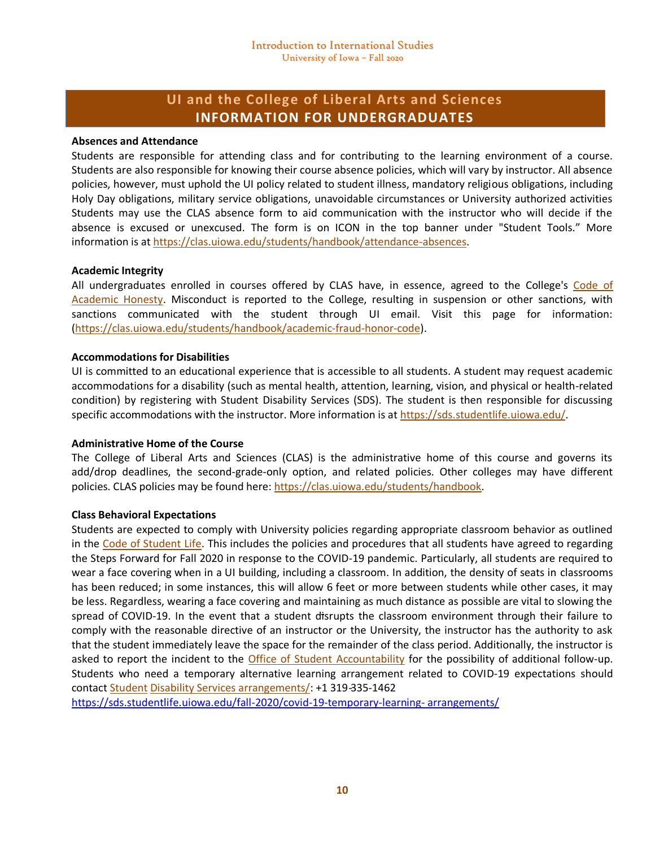# **UI and the College of Liberal Arts and Sciences INFORMATION FOR UNDERGRADUATES**

#### **Absences and Attendance**

Students are responsible for attending class and for contributing to the learning environment of a course. Students are also responsible for knowing their course absence policies, which will vary by instructor. All absence policies, however, must uphold the UI policy related to student illness, mandatory religious obligations, including Holy Day obligations, military service obligations, unavoidable circumstances or University authorized activities Students may use the CLAS absence form to aid communication with the instructor who will decide if the absence is excused or unexcused. The form is on ICON in the top banner under "Student Tools." More information is at https://clas.uiowa.edu/students/handbook/attendance-absences.

#### **Academic Integrity**

All undergraduates enrolled in courses offered by CLAS have, in essence, agreed to the College's Code of Academic Honesty. Misconduct is reported to the College, resulting in suspension or other sanctions, with sanctions communicated with the student through UI email. Visit this page for information: (https://clas.uiowa.edu/students/handbook/academic-fraud-honor-code).

#### **Accommodations for Disabilities**

UI is committed to an educational experience that is accessible to all students. A student may request academic accommodations for a disability (such as mental health, attention, learning, vision, and physical or health-related condition) by registering with Student Disability Services (SDS). The student is then responsible for discussing specific accommodations with the instructor. More information is at https://sds.studentlife.uiowa.edu/.

#### **Administrative Home of the Course**

The College of Liberal Arts and Sciences (CLAS) is the administrative home of this course and governs its add/drop deadlines, the second-grade-only option, and related policies. Other colleges may have different policies. CLAS policies may be found here: https://clas.uiowa.edu/students/handbook.

#### **Class Behavioral Expectations**

Students are expected to comply with University policies regarding appropriate classroom behavior as outlined in the Code of Student Life. This includes the policies and procedures that all students have agreed to regarding the Steps Forward for Fall 2020 in response to the COVID-19 pandemic. Particularly, all students are required to wear a face covering when in a UI building, including a classroom. In addition, the density of seats in classrooms has been reduced; in some instances, this will allow 6 feet or more between students while other cases, it may be less. Regardless, wearing a face covering and maintaining as much distance as possible are vital to slowing the spread of COVID-19. In the event that a student disrupts the classroom environment through their failure to comply with the reasonable directive of an instructor or the University, the instructor has the authority to ask that the student immediately leave the space for the remainder of the class period. Additionally, the instructor is asked to report the incident to the Office of Student Accountability for the possibility of additional follow-up. Students who need a temporary alternative learning arrangement related to COVID-19 expectations should contact Student Disability Services arrangements/: +1 319-335-1462

[https://sds.studentlife.uiowa.edu/fall-2020/covid-19-temporary-learning-](https://sds.studentlife.uiowa.edu/fall-2020/covid-19-temporary-learning-%20arrangements/) arrangements/